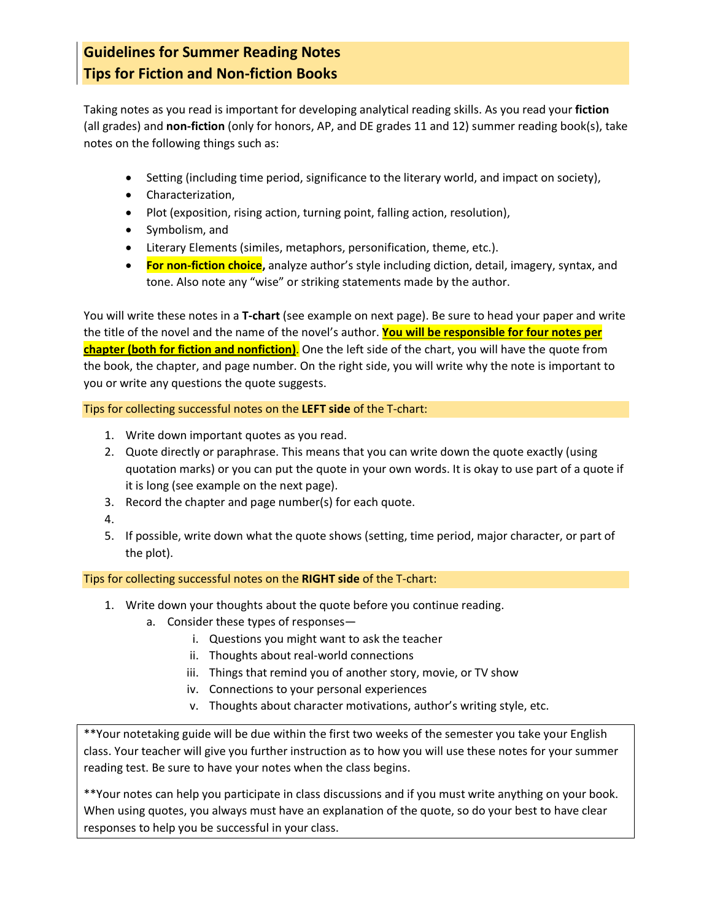## **Guidelines for Summer Reading Notes Tips for Fiction and Non-fiction Books**

Taking notes as you read is important for developing analytical reading skills. As you read your **fiction** (all grades) and **non-fiction** (only for honors, AP, and DE grades 11 and 12) summer reading book(s), take notes on the following things such as:

- Setting (including time period, significance to the literary world, and impact on society),
- Characterization,
- Plot (exposition, rising action, turning point, falling action, resolution),
- Symbolism, and
- Literary Elements (similes, metaphors, personification, theme, etc.).
- **For non-fiction choice,** analyze author's style including diction, detail, imagery, syntax, and tone. Also note any "wise" or striking statements made by the author.

You will write these notes in a **T-chart** (see example on next page). Be sure to head your paper and write the title of the novel and the name of the novel's author. **You will be responsible for four notes per chapter (both for fiction and nonfiction)**. One the left side of the chart, you will have the quote from the book, the chapter, and page number. On the right side, you will write why the note is important to you or write any questions the quote suggests.

Tips for collecting successful notes on the **LEFT side** of the T-chart:

- 1. Write down important quotes as you read.
- 2. Quote directly or paraphrase. This means that you can write down the quote exactly (using quotation marks) or you can put the quote in your own words. It is okay to use part of a quote if it is long (see example on the next page).
- 3. Record the chapter and page number(s) for each quote.
- 4.
- 5. If possible, write down what the quote shows (setting, time period, major character, or part of the plot).

Tips for collecting successful notes on the **RIGHT side** of the T-chart:

- 1. Write down your thoughts about the quote before you continue reading.
	- a. Consider these types of responses
		- i. Questions you might want to ask the teacher
		- ii. Thoughts about real-world connections
		- iii. Things that remind you of another story, movie, or TV show
		- iv. Connections to your personal experiences
		- v. Thoughts about character motivations, author's writing style, etc.

\*\*Your notetaking guide will be due within the first two weeks of the semester you take your English class. Your teacher will give you further instruction as to how you will use these notes for your summer reading test. Be sure to have your notes when the class begins.

\*\*Your notes can help you participate in class discussions and if you must write anything on your book. When using quotes, you always must have an explanation of the quote, so do your best to have clear responses to help you be successful in your class.